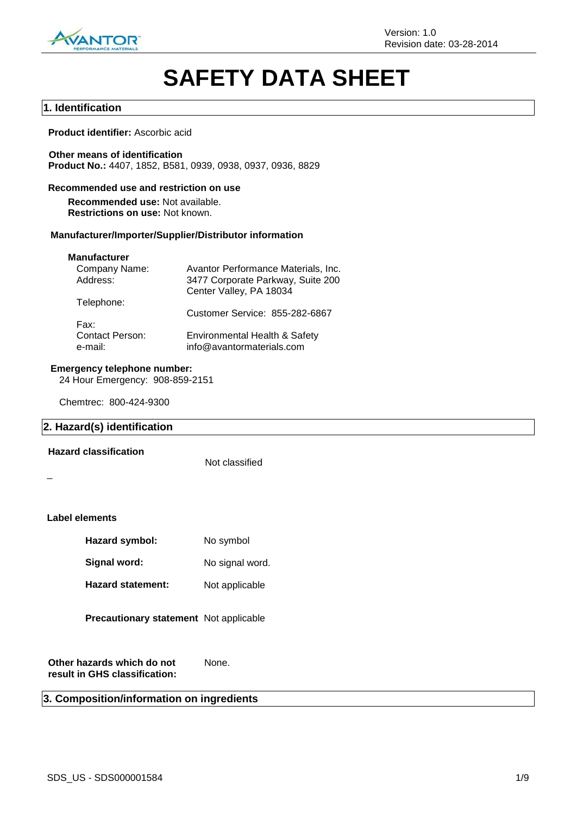

# **SAFETY DATA SHEET**

### **1. Identification**

### **Product identifier:** Ascorbic acid

**Other means of identification Product No.:** 4407, 1852, B581, 0939, 0938, 0937, 0936, 8829

### **Recommended use and restriction on use**

**Recommended use:** Not available. **Restrictions on use:** Not known.

### **Manufacturer/Importer/Supplier/Distributor information**

#### **Manufacturer**

| Avantor Performance Materials, Inc.                        |
|------------------------------------------------------------|
| 3477 Corporate Parkway, Suite 200                          |
| Center Valley, PA 18034                                    |
|                                                            |
| Customer Service: 855-282-6867                             |
|                                                            |
| Environmental Health & Safety<br>info@avantormaterials.com |
|                                                            |

### **Emergency telephone number:**

24 Hour Emergency: 908-859-2151

Chemtrec: 800-424-9300

### **2. Hazard(s) identification**

### **Hazard classification**

Not classified

\_

### **Label elements**

| Hazard symbol: | No symbol |
|----------------|-----------|
|----------------|-----------|

Signal word: No signal word.

Hazard statement: Not applicable

### **Precautionary statement** Not applicable

**Other hazards which do not result in GHS classification:** None.

### **3. Composition/information on ingredients**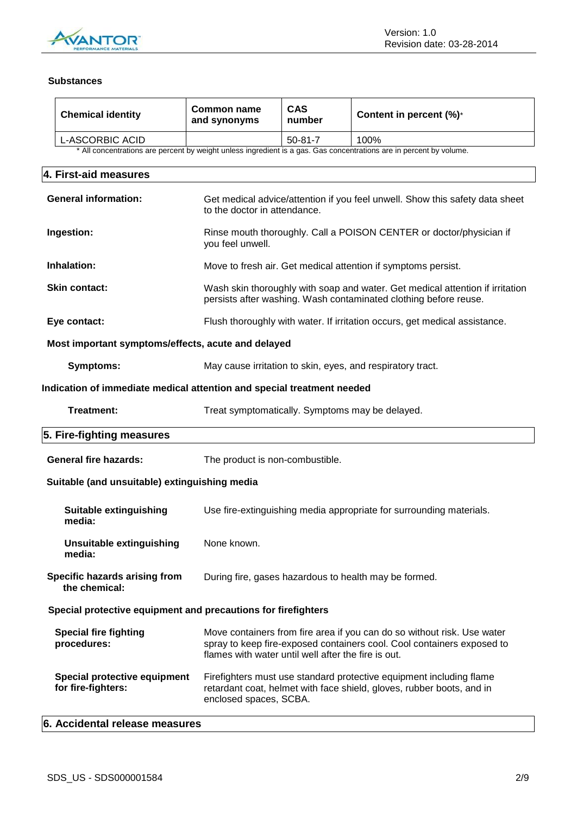

### **Substances**

| <b>Chemical identity</b>                                                                                                                    | <b>Common name</b><br>and synonyms                                                                                                                                     | <b>CAS</b><br>number | Content in percent (%)*                                                                                                                           |  |  |  |
|---------------------------------------------------------------------------------------------------------------------------------------------|------------------------------------------------------------------------------------------------------------------------------------------------------------------------|----------------------|---------------------------------------------------------------------------------------------------------------------------------------------------|--|--|--|
| L-ASCORBIC ACID                                                                                                                             |                                                                                                                                                                        | $50 - 81 - 7$        | 100%                                                                                                                                              |  |  |  |
| * All concentrations are percent by weight unless ingredient is a gas. Gas concentrations are in percent by volume.                         |                                                                                                                                                                        |                      |                                                                                                                                                   |  |  |  |
| 4. First-aid measures                                                                                                                       |                                                                                                                                                                        |                      |                                                                                                                                                   |  |  |  |
| <b>General information:</b><br>Get medical advice/attention if you feel unwell. Show this safety data sheet<br>to the doctor in attendance. |                                                                                                                                                                        |                      |                                                                                                                                                   |  |  |  |
| Ingestion:                                                                                                                                  | Rinse mouth thoroughly. Call a POISON CENTER or doctor/physician if<br>you feel unwell.                                                                                |                      |                                                                                                                                                   |  |  |  |
| Inhalation:                                                                                                                                 |                                                                                                                                                                        |                      | Move to fresh air. Get medical attention if symptoms persist.                                                                                     |  |  |  |
| <b>Skin contact:</b>                                                                                                                        |                                                                                                                                                                        |                      | Wash skin thoroughly with soap and water. Get medical attention if irritation<br>persists after washing. Wash contaminated clothing before reuse. |  |  |  |
| Eye contact:                                                                                                                                |                                                                                                                                                                        |                      | Flush thoroughly with water. If irritation occurs, get medical assistance.                                                                        |  |  |  |
| Most important symptoms/effects, acute and delayed                                                                                          |                                                                                                                                                                        |                      |                                                                                                                                                   |  |  |  |
| <b>Symptoms:</b>                                                                                                                            |                                                                                                                                                                        |                      | May cause irritation to skin, eyes, and respiratory tract.                                                                                        |  |  |  |
| Indication of immediate medical attention and special treatment needed                                                                      |                                                                                                                                                                        |                      |                                                                                                                                                   |  |  |  |
| Treatment:<br>Treat symptomatically. Symptoms may be delayed.                                                                               |                                                                                                                                                                        |                      |                                                                                                                                                   |  |  |  |
| 5. Fire-fighting measures                                                                                                                   |                                                                                                                                                                        |                      |                                                                                                                                                   |  |  |  |
| <b>General fire hazards:</b>                                                                                                                | The product is non-combustible.                                                                                                                                        |                      |                                                                                                                                                   |  |  |  |
| Suitable (and unsuitable) extinguishing media                                                                                               |                                                                                                                                                                        |                      |                                                                                                                                                   |  |  |  |
| <b>Suitable extinguishing</b><br>media:                                                                                                     |                                                                                                                                                                        |                      | Use fire-extinguishing media appropriate for surrounding materials.                                                                               |  |  |  |
| <b>Unsuitable extinguishing</b><br>media:                                                                                                   | None known.                                                                                                                                                            |                      |                                                                                                                                                   |  |  |  |
| Specific hazards arising from<br>the chemical:                                                                                              |                                                                                                                                                                        |                      | During fire, gases hazardous to health may be formed.                                                                                             |  |  |  |
| Special protective equipment and precautions for firefighters                                                                               |                                                                                                                                                                        |                      |                                                                                                                                                   |  |  |  |
| <b>Special fire fighting</b><br>procedures:                                                                                                 | flames with water until well after the fire is out.                                                                                                                    |                      | Move containers from fire area if you can do so without risk. Use water<br>spray to keep fire-exposed containers cool. Cool containers exposed to |  |  |  |
| Special protective equipment<br>for fire-fighters:                                                                                          | Firefighters must use standard protective equipment including flame<br>retardant coat, helmet with face shield, gloves, rubber boots, and in<br>enclosed spaces, SCBA. |                      |                                                                                                                                                   |  |  |  |
| 6. Accidental release measures                                                                                                              |                                                                                                                                                                        |                      |                                                                                                                                                   |  |  |  |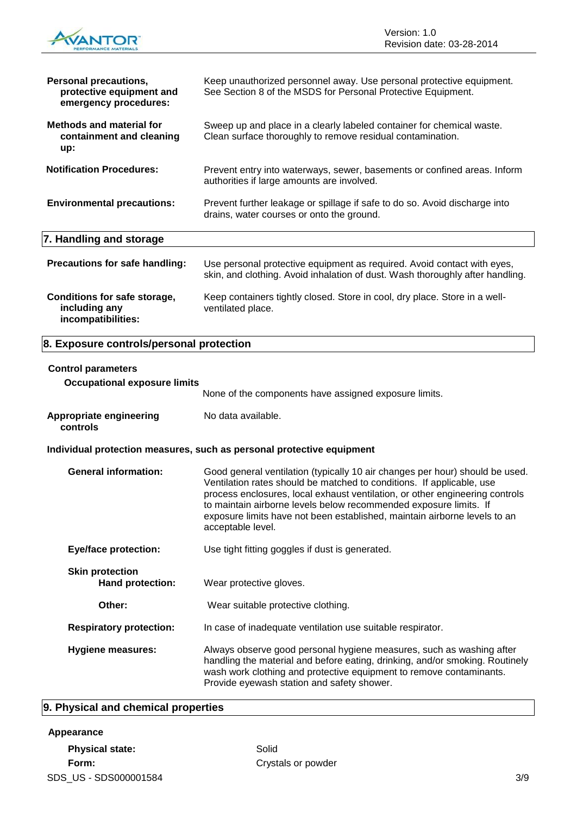

| <b>Personal precautions,</b><br>protective equipment and<br>emergency procedures: | Keep unauthorized personnel away. Use personal protective equipment.<br>See Section 8 of the MSDS for Personal Protective Equipment.                                                                                                                                                                                                                                                                         |
|-----------------------------------------------------------------------------------|--------------------------------------------------------------------------------------------------------------------------------------------------------------------------------------------------------------------------------------------------------------------------------------------------------------------------------------------------------------------------------------------------------------|
| <b>Methods and material for</b><br>containment and cleaning<br>up:                | Sweep up and place in a clearly labeled container for chemical waste.<br>Clean surface thoroughly to remove residual contamination.                                                                                                                                                                                                                                                                          |
| <b>Notification Procedures:</b>                                                   | Prevent entry into waterways, sewer, basements or confined areas. Inform<br>authorities if large amounts are involved.                                                                                                                                                                                                                                                                                       |
| <b>Environmental precautions:</b>                                                 | Prevent further leakage or spillage if safe to do so. Avoid discharge into<br>drains, water courses or onto the ground.                                                                                                                                                                                                                                                                                      |
| 7. Handling and storage                                                           |                                                                                                                                                                                                                                                                                                                                                                                                              |
| Precautions for safe handling:                                                    | Use personal protective equipment as required. Avoid contact with eyes,<br>skin, and clothing. Avoid inhalation of dust. Wash thoroughly after handling.                                                                                                                                                                                                                                                     |
| Conditions for safe storage,<br>including any<br>incompatibilities:               | Keep containers tightly closed. Store in cool, dry place. Store in a well-<br>ventilated place.                                                                                                                                                                                                                                                                                                              |
| 8. Exposure controls/personal protection                                          |                                                                                                                                                                                                                                                                                                                                                                                                              |
| <b>Control parameters</b><br><b>Occupational exposure limits</b>                  | None of the components have assigned exposure limits.                                                                                                                                                                                                                                                                                                                                                        |
| Appropriate engineering<br>controls                                               | No data available.                                                                                                                                                                                                                                                                                                                                                                                           |
|                                                                                   | Individual protection measures, such as personal protective equipment                                                                                                                                                                                                                                                                                                                                        |
| <b>General information:</b>                                                       | Good general ventilation (typically 10 air changes per hour) should be used.<br>Ventilation rates should be matched to conditions. If applicable, use<br>process enclosures, local exhaust ventilation, or other engineering controls<br>to maintain airborne levels below recommended exposure limits. If<br>exposure limits have not been established, maintain airborne levels to an<br>acceptable level. |
| <b>Eye/face protection:</b>                                                       | Use tight fitting goggles if dust is generated.                                                                                                                                                                                                                                                                                                                                                              |

| <b>Skin protection</b><br>Hand protection: | Wear protective gloves.                                    |
|--------------------------------------------|------------------------------------------------------------|
| Other:                                     | Wear suitable protective clothing.                         |
| <b>Respiratory protection:</b>             | In case of inadequate ventilation use suitable respirator. |

**Hygiene measures:** Always observe good personal hygiene measures, such as washing after handling the material and before eating, drinking, and/or smoking. Routinely wash work clothing and protective equipment to remove contaminants. Provide eyewash station and safety shower.

# **9. Physical and chemical properties**

### **Appearance**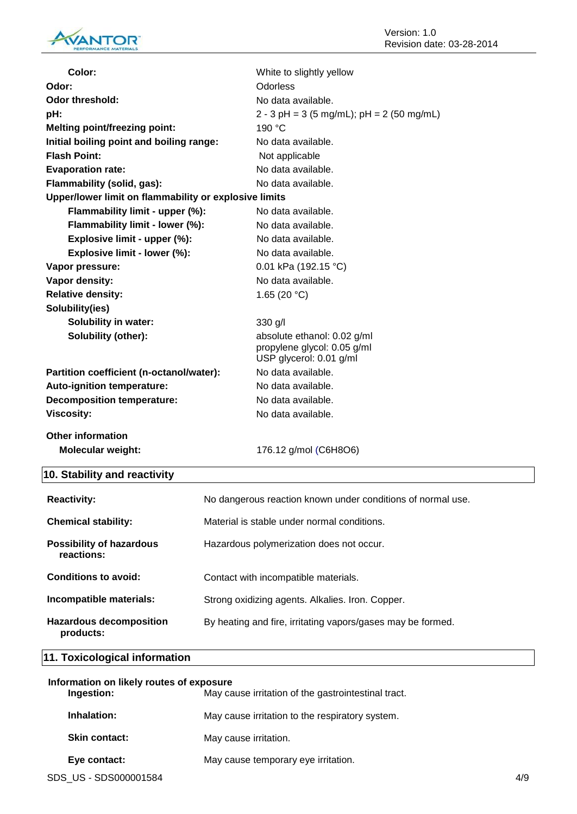

| Color:                                                | White to slightly yellow                                                              |
|-------------------------------------------------------|---------------------------------------------------------------------------------------|
| Odor:                                                 | Odorless                                                                              |
| <b>Odor threshold:</b>                                | No data available.                                                                    |
| pH:                                                   | $2 - 3$ pH = 3 (5 mg/mL); pH = 2 (50 mg/mL)                                           |
| <b>Melting point/freezing point:</b>                  | 190 °C                                                                                |
| Initial boiling point and boiling range:              | No data available.                                                                    |
| <b>Flash Point:</b>                                   | Not applicable                                                                        |
| <b>Evaporation rate:</b>                              | No data available.                                                                    |
| Flammability (solid, gas):                            | No data available.                                                                    |
| Upper/lower limit on flammability or explosive limits |                                                                                       |
| Flammability limit - upper (%):                       | No data available.                                                                    |
| Flammability limit - lower (%):                       | No data available.                                                                    |
| Explosive limit - upper (%):                          | No data available.                                                                    |
| Explosive limit - lower (%):                          | No data available.                                                                    |
| Vapor pressure:                                       | 0.01 kPa (192.15 °C)                                                                  |
| Vapor density:                                        | No data available.                                                                    |
| <b>Relative density:</b>                              | 1.65 (20 $°C$ )                                                                       |
| Solubility(ies)                                       |                                                                                       |
| <b>Solubility in water:</b>                           | 330 g/l                                                                               |
| Solubility (other):                                   | absolute ethanol: 0.02 g/ml<br>propylene glycol: 0.05 g/ml<br>USP glycerol: 0.01 g/ml |
| Partition coefficient (n-octanol/water):              | No data available.                                                                    |
| Auto-ignition temperature:                            | No data available.                                                                    |
| <b>Decomposition temperature:</b>                     | No data available.                                                                    |
| <b>Viscosity:</b>                                     | No data available.                                                                    |
| <b>Other information</b>                              |                                                                                       |
| <b>Molecular weight:</b>                              | 176.12 g/mol (C6H8O6)                                                                 |
| 10. Stability and reactivity                          |                                                                                       |

| <b>Reactivity:</b>                            | No dangerous reaction known under conditions of normal use. |
|-----------------------------------------------|-------------------------------------------------------------|
| <b>Chemical stability:</b>                    | Material is stable under normal conditions.                 |
| <b>Possibility of hazardous</b><br>reactions: | Hazardous polymerization does not occur.                    |
| Conditions to avoid:                          | Contact with incompatible materials.                        |
| Incompatible materials:                       | Strong oxidizing agents. Alkalies. Iron. Copper.            |
| <b>Hazardous decomposition</b><br>products:   | By heating and fire, irritating vapors/gases may be formed. |

# **11. Toxicological information**

| Information on likely routes of exposure<br>Ingestion:<br>May cause irritation of the gastrointestinal tract. |                      |                                                 |  |
|---------------------------------------------------------------------------------------------------------------|----------------------|-------------------------------------------------|--|
|                                                                                                               | Inhalation:          | May cause irritation to the respiratory system. |  |
|                                                                                                               | <b>Skin contact:</b> | May cause irritation.                           |  |
|                                                                                                               | Eye contact:         | May cause temporary eye irritation.             |  |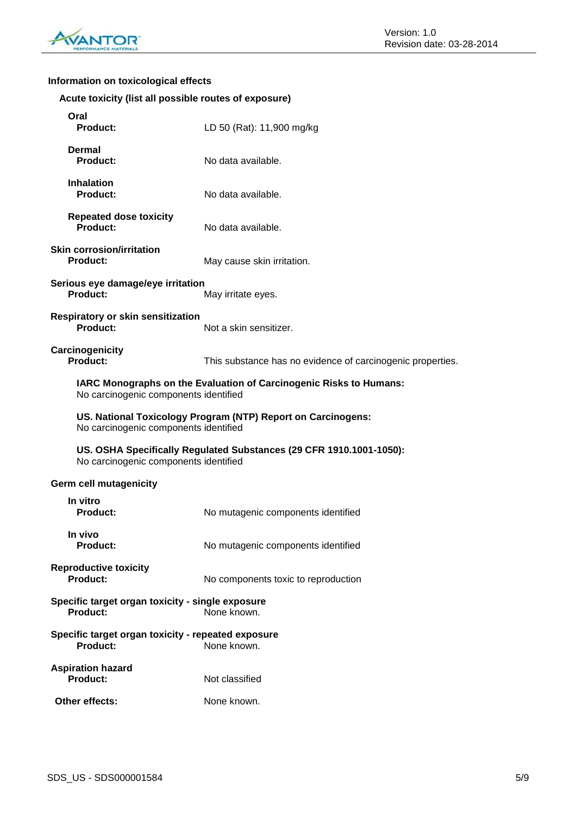

# **Information on toxicological effects**

| Acute toxicity (list all possible routes of exposure) |  |  |  |
|-------------------------------------------------------|--|--|--|
|                                                       |  |  |  |

| Oral<br><b>Product:</b>                                               | LD 50 (Rat): 11,900 mg/kg                                           |
|-----------------------------------------------------------------------|---------------------------------------------------------------------|
| Dermal<br><b>Product:</b>                                             | No data available.                                                  |
| <b>Inhalation</b><br><b>Product:</b>                                  | No data available.                                                  |
| <b>Repeated dose toxicity</b><br>Product:                             | No data available.                                                  |
| <b>Skin corrosion/irritation</b><br><b>Product:</b>                   | May cause skin irritation.                                          |
| Serious eye damage/eye irritation<br><b>Product:</b>                  | May irritate eyes.                                                  |
| <b>Respiratory or skin sensitization</b><br>Product:                  | Not a skin sensitizer.                                              |
| Carcinogenicity<br><b>Product:</b>                                    | This substance has no evidence of carcinogenic properties.          |
| No carcinogenic components identified                                 | IARC Monographs on the Evaluation of Carcinogenic Risks to Humans:  |
| No carcinogenic components identified                                 | US. National Toxicology Program (NTP) Report on Carcinogens:        |
| No carcinogenic components identified                                 | US. OSHA Specifically Regulated Substances (29 CFR 1910.1001-1050): |
| <b>Germ cell mutagenicity</b>                                         |                                                                     |
| In vitro<br><b>Product:</b>                                           | No mutagenic components identified                                  |
| In vivo<br>Product:                                                   | No mutagenic components identified                                  |
| <b>Reproductive toxicity</b><br><b>Product:</b>                       | No components toxic to reproduction                                 |
| Specific target organ toxicity - single exposure<br><b>Product:</b>   | None known.                                                         |
| Specific target organ toxicity - repeated exposure<br><b>Product:</b> | None known.                                                         |
| <b>Aspiration hazard</b><br><b>Product:</b>                           | Not classified                                                      |
| Other effects:                                                        | None known.                                                         |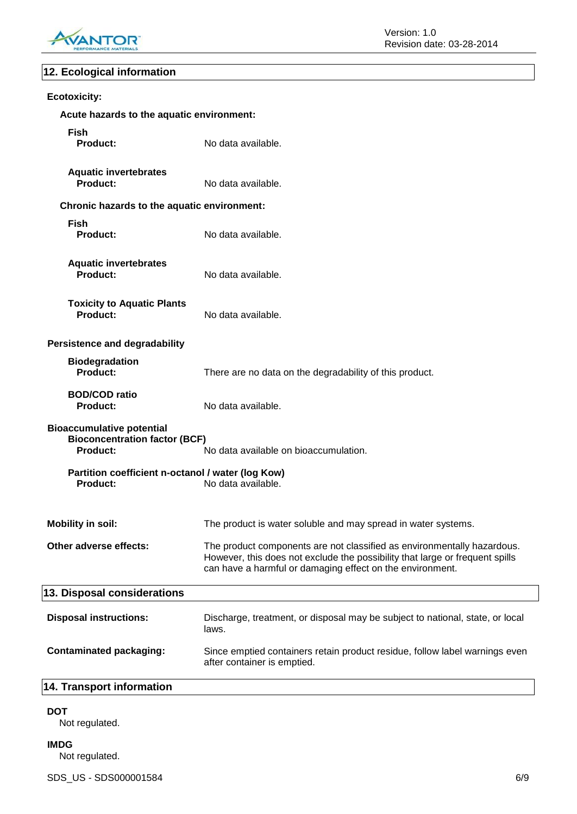

# **12. Ecological information**

| <b>Ecotoxicity:</b>                                                                  |                                                                                                                                                                                                                      |
|--------------------------------------------------------------------------------------|----------------------------------------------------------------------------------------------------------------------------------------------------------------------------------------------------------------------|
| Acute hazards to the aquatic environment:                                            |                                                                                                                                                                                                                      |
| <b>Fish</b><br>Product:                                                              | No data available.                                                                                                                                                                                                   |
| <b>Aquatic invertebrates</b><br><b>Product:</b>                                      | No data available.                                                                                                                                                                                                   |
| Chronic hazards to the aquatic environment:                                          |                                                                                                                                                                                                                      |
| <b>Fish</b><br><b>Product:</b>                                                       | No data available.                                                                                                                                                                                                   |
| <b>Aquatic invertebrates</b><br>Product:                                             | No data available.                                                                                                                                                                                                   |
| <b>Toxicity to Aquatic Plants</b><br>Product:                                        | No data available.                                                                                                                                                                                                   |
| <b>Persistence and degradability</b>                                                 |                                                                                                                                                                                                                      |
| <b>Biodegradation</b><br>Product:                                                    | There are no data on the degradability of this product.                                                                                                                                                              |
| <b>BOD/COD ratio</b><br>Product:                                                     | No data available.                                                                                                                                                                                                   |
| <b>Bioaccumulative potential</b><br><b>Bioconcentration factor (BCF)</b><br>Product: | No data available on bioaccumulation.                                                                                                                                                                                |
| Partition coefficient n-octanol / water (log Kow)<br><b>Product:</b>                 | No data available.                                                                                                                                                                                                   |
| <b>Mobility in soil:</b>                                                             | The product is water soluble and may spread in water systems.                                                                                                                                                        |
| Other adverse effects:                                                               | The product components are not classified as environmentally hazardous.<br>However, this does not exclude the possibility that large or frequent spills<br>can have a harmful or damaging effect on the environment. |
| 13. Disposal considerations                                                          |                                                                                                                                                                                                                      |
| <b>Disposal instructions:</b>                                                        | Discharge, treatment, or disposal may be subject to national, state, or local<br>laws.                                                                                                                               |
| <b>Contaminated packaging:</b>                                                       | Since emptied containers retain product residue, follow label warnings even<br>after container is emptied.                                                                                                           |
| 14. Transport information                                                            |                                                                                                                                                                                                                      |

**DOT**

Not regulated.

**IMDG** Not regulated.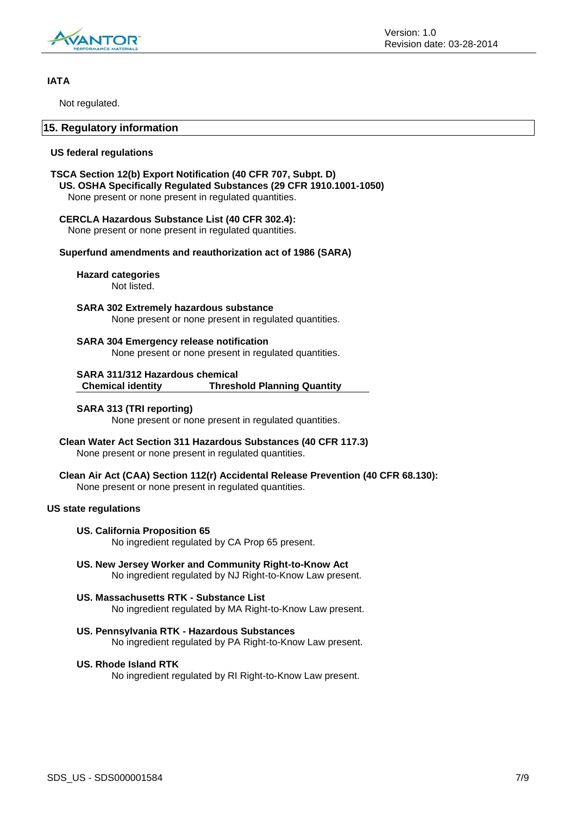

### **IATA**

Not regulated.

### **15. Regulatory information**

### **US federal regulations**

### **TSCA Section 12(b) Export Notification (40 CFR 707, Subpt. D)**

**US. OSHA Specifically Regulated Substances (29 CFR 1910.1001-1050)** None present or none present in regulated quantities.

### **CERCLA Hazardous Substance List (40 CFR 302.4):**

None present or none present in regulated quantities.

### **Superfund amendments and reauthorization act of 1986 (SARA)**

**Hazard categories**

Not listed.

**SARA 302 Extremely hazardous substance** None present or none present in regulated quantities.

**SARA 304 Emergency release notification** None present or none present in regulated quantities.

**SARA 311/312 Hazardous chemical Chemical identity Threshold Planning Quantity**

### **SARA 313 (TRI reporting)**

None present or none present in regulated quantities.

**Clean Water Act Section 311 Hazardous Substances (40 CFR 117.3)** None present or none present in regulated quantities.

**Clean Air Act (CAA) Section 112(r) Accidental Release Prevention (40 CFR 68.130):** None present or none present in regulated quantities.

### **US state regulations**

### **US. California Proposition 65**

No ingredient regulated by CA Prop 65 present.

- **US. New Jersey Worker and Community Right-to-Know Act** No ingredient regulated by NJ Right-to-Know Law present.
- **US. Massachusetts RTK - Substance List** No ingredient regulated by MA Right-to-Know Law present.
- **US. Pennsylvania RTK - Hazardous Substances** No ingredient regulated by PA Right-to-Know Law present.

### **US. Rhode Island RTK**

No ingredient regulated by RI Right-to-Know Law present.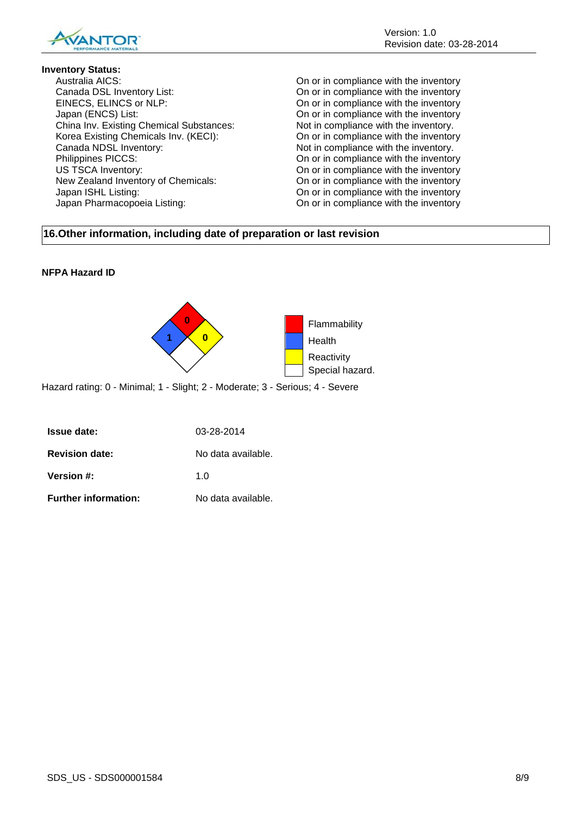

### **Inventory Status:**

Australia AICS: On or in compliance with the inventory Canada DSL Inventory List: On or in compliance with the inventory EINECS, ELINCS or NLP: On or in compliance with the inventory Japan (ENCS) List:<br>
China Inv. Existing Chemical Substances: On or in compliance with the inventory.<br>
Not in compliance with the inventory. China Inv. Existing Chemical Substances: Not in compliance with the inventory.<br>Korea Existing Chemicals Inv. (KECI): On or in compliance with the inventory Korea Existing Chemicals Inv. (KECI): Canada NDSL Inventory:<br>
Philippines PICCS:<br>
On or in compliance with the inventory.<br>
On or in compliance with the inventory. US TSCA Inventory: On or in compliance with the inventory New Zealand Inventory of Chemicals: On or in compliance with the inventory Japan ISHL Listing: On or in compliance with the inventory Japan Pharmacopoeia Listing: On or in compliance with the inventory

On or in compliance with the inventory

# **16.Other information, including date of preparation or last revision**

### **NFPA Hazard ID**



Hazard rating: 0 - Minimal; 1 - Slight; 2 - Moderate; 3 - Serious; 4 - Severe

| <b>Issue date:</b>          | 03-28-2014         |
|-----------------------------|--------------------|
| <b>Revision date:</b>       | No data available. |
| <b>Version #:</b>           | 1 በ                |
| <b>Further information:</b> | No data available. |